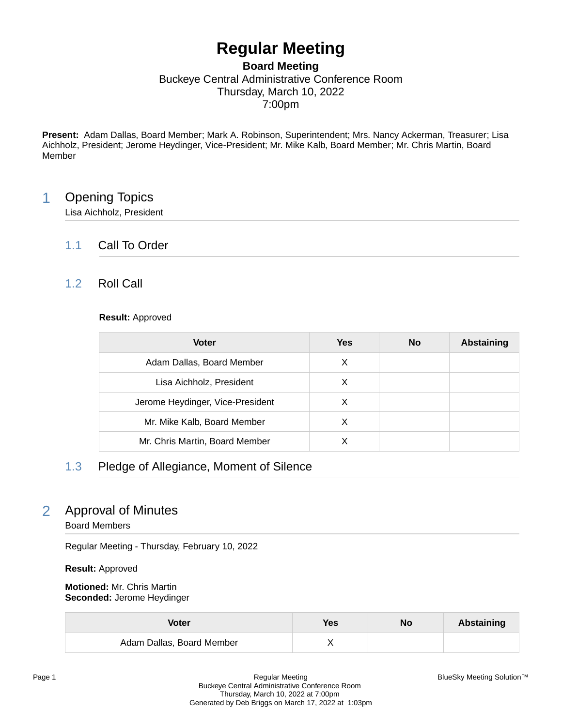# **Regular Meeting**

### **Board Meeting** Buckeye Central Administrative Conference Room Thursday, March 10, 2022 7:00pm

**Present:** Adam Dallas, Board Member; Mark A. Robinson, Superintendent; Mrs. Nancy Ackerman, Treasurer; Lisa Aichholz, President; Jerome Heydinger, Vice-President; Mr. Mike Kalb, Board Member; Mr. Chris Martin, Board Member

# 1 Opening Topics

Lisa Aichholz, President

### 1.1 Call To Order

### 1.2 Roll Call

#### **Result:** Approved

| <b>Voter</b>                     | Yes | <b>No</b> | Abstaining |
|----------------------------------|-----|-----------|------------|
| Adam Dallas, Board Member        | X   |           |            |
| Lisa Aichholz, President         | X   |           |            |
| Jerome Heydinger, Vice-President | X   |           |            |
| Mr. Mike Kalb, Board Member      | X   |           |            |
| Mr. Chris Martin, Board Member   |     |           |            |

## 1.3 Pledge of Allegiance, Moment of Silence

# 2 Approval of Minutes

Board Members

Regular Meeting - Thursday, February 10, 2022

**Result:** Approved

**Motioned:** Mr. Chris Martin **Seconded:** Jerome Heydinger

| Voter                     | <b>Yes</b> | No | Abstaining |
|---------------------------|------------|----|------------|
| Adam Dallas, Board Member |            |    |            |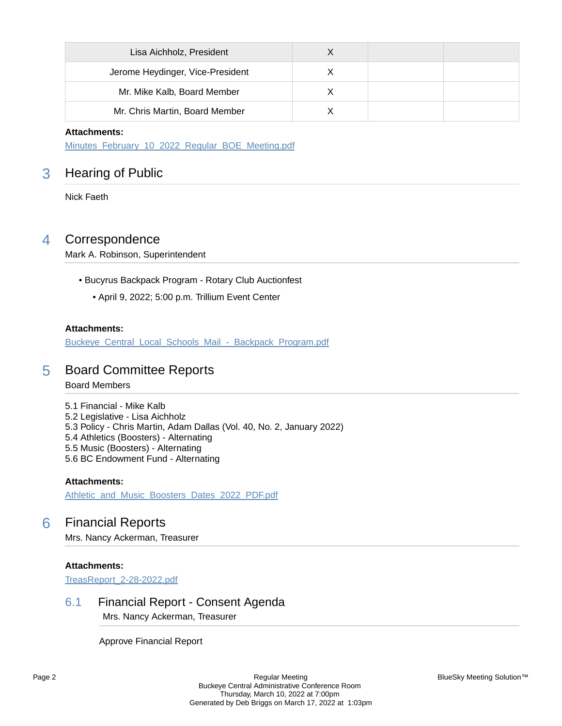| Lisa Aichholz, President         |  |  |
|----------------------------------|--|--|
| Jerome Heydinger, Vice-President |  |  |
| Mr. Mike Kalb, Board Member      |  |  |
| Mr. Chris Martin, Board Member   |  |  |

#### **Attachments:**

[Minutes\\_February\\_10\\_2022\\_Regular\\_BOE\\_Meeting.pdf](https://bcbucks.blueskymeeting.com/meeting_groups/32/item_attachments/64933)

# 3 Hearing of Public

Nick Faeth

### 4 Correspondence

Mark A. Robinson, Superintendent

- Bucyrus Backpack Program Rotary Club Auctionfest
	- April 9, 2022; 5:00 p.m. Trillium Event Center

#### **Attachments:**

[Buckeye\\_Central\\_Local\\_Schools\\_Mail\\_-\\_Backpack\\_Program.pdf](https://bcbucks.blueskymeeting.com/meeting_groups/32/item_attachments/65163)

### 5 Board Committee Reports

#### Board Members

5.1 Financial - Mike Kalb 5.2 Legislative - Lisa Aichholz 5.3 Policy - Chris Martin, Adam Dallas (Vol. 40, No. 2, January 2022) 5.4 Athletics (Boosters) - Alternating 5.5 Music (Boosters) - Alternating 5.6 BC Endowment Fund - Alternating

#### **Attachments:**

[Athletic\\_and\\_Music\\_Boosters\\_Dates\\_2022\\_PDF.pdf](https://bcbucks.blueskymeeting.com/meeting_groups/32/item_attachments/64940)

## 6 Financial Reports

Mrs. Nancy Ackerman, Treasurer

#### **Attachments:**

[TreasReport\\_2-28-2022.pdf](https://bcbucks.blueskymeeting.com/meeting_groups/32/item_attachments/64938)

# 6.1 Financial Report - Consent Agenda

Mrs. Nancy Ackerman, Treasurer

Approve Financial Report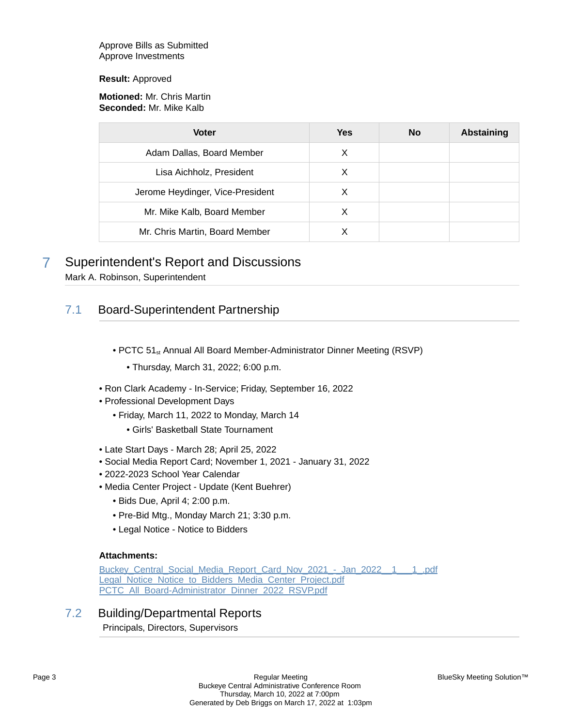Approve Bills as Submitted Approve Investments

#### **Result:** Approved

**Motioned:** Mr. Chris Martin **Seconded:** Mr. Mike Kalb

| <b>Voter</b>                     | <b>Yes</b> | <b>No</b> | <b>Abstaining</b> |
|----------------------------------|------------|-----------|-------------------|
| Adam Dallas, Board Member        | X          |           |                   |
| Lisa Aichholz, President         | X          |           |                   |
| Jerome Heydinger, Vice-President | х          |           |                   |
| Mr. Mike Kalb, Board Member      | х          |           |                   |
| Mr. Chris Martin, Board Member   |            |           |                   |

7 Superintendent's Report and Discussions

Mark A. Robinson, Superintendent

# 7.1 Board-Superintendent Partnership

- PCTC 51<sub>st</sub> Annual All Board Member-Administrator Dinner Meeting (RSVP)
	- Thursday, March 31, 2022; 6:00 p.m.
- Ron Clark Academy In-Service; Friday, September 16, 2022
- Professional Development Days
	- Friday, March 11, 2022 to Monday, March 14
		- Girls' Basketball State Tournament
- Late Start Days March 28; April 25, 2022
- Social Media Report Card; November 1, 2021 January 31, 2022
- 2022-2023 School Year Calendar
- Media Center Project Update (Kent Buehrer)
	- Bids Due, April 4; 2:00 p.m.
	- Pre-Bid Mtg., Monday March 21; 3:30 p.m.
	- Legal Notice Notice to Bidders

#### **Attachments:**

Buckey Central Social Media Report Card Nov 2021 - Jan 2022 1 1.pdf [Legal\\_Notice\\_Notice\\_to\\_Bidders\\_Media\\_Center\\_Project.pdf](https://bcbucks.blueskymeeting.com/meeting_groups/32/item_attachments/64934) [PCTC\\_All\\_Board-Administrator\\_Dinner\\_2022\\_RSVP.pdf](https://bcbucks.blueskymeeting.com/meeting_groups/32/item_attachments/64935)

## 7.2 Building/Departmental Reports

Principals, Directors, Supervisors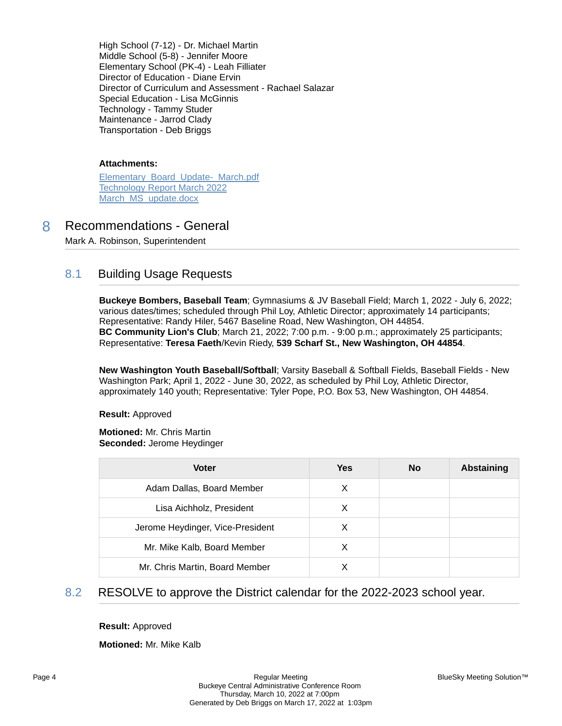High School (7-12) - Dr. Michael Martin Middle School (5-8) - Jennifer Moore Elementary School (PK-4) - Leah Filliater Director of Education - Diane Ervin Director of Curriculum and Assessment - Rachael Salazar Special Education - Lisa McGinnis Technology - Tammy Studer Maintenance - Jarrod Clady Transportation - Deb Briggs

#### **Attachments:**

[Elementary\\_Board\\_Update-\\_March.pdf](https://bcbucks.blueskymeeting.com/meeting_groups/32/item_attachments/64939) [Technology Report March 2022](https://bcbucks.blueskymeeting.com/meeting_groups/32/item_attachments/64950) [March\\_MS\\_update.docx](https://bcbucks.blueskymeeting.com/meeting_groups/32/item_attachments/65120)

### 8 Recommendations - General Mark A. Robinson, Superintendent

### 8.1 Building Usage Requests

**Buckeye Bombers, Baseball Team**; Gymnasiums & JV Baseball Field; March 1, 2022 - July 6, 2022; various dates/times; scheduled through Phil Loy, Athletic Director; approximately 14 participants; Representative: Randy Hiler, 5467 Baseline Road, New Washington, OH 44854. **BC Community Lion's Club**; March 21, 2022; 7:00 p.m. - 9:00 p.m.; approximately 25 participants; Representative: **Teresa Faeth**/Kevin Riedy, **539 Scharf St., New Washington, OH 44854**.

**New Washington Youth Baseball/Softball**; Varsity Baseball & Softball Fields, Baseball Fields - New Washington Park; April 1, 2022 - June 30, 2022, as scheduled by Phil Loy, Athletic Director, approximately 140 youth; Representative: Tyler Pope, P.O. Box 53, New Washington, OH 44854.

#### **Result:** Approved

**Motioned:** Mr. Chris Martin **Seconded:** Jerome Heydinger

| <b>Voter</b>                     | Yes | <b>No</b> | <b>Abstaining</b> |
|----------------------------------|-----|-----------|-------------------|
| Adam Dallas, Board Member        | X   |           |                   |
| Lisa Aichholz, President         | X   |           |                   |
| Jerome Heydinger, Vice-President | X   |           |                   |
| Mr. Mike Kalb, Board Member      | х   |           |                   |
| Mr. Chris Martin, Board Member   |     |           |                   |

### 8.2 RESOLVE to approve the District calendar for the 2022-2023 school year.

**Result:** Approved

**Motioned:** Mr. Mike Kalb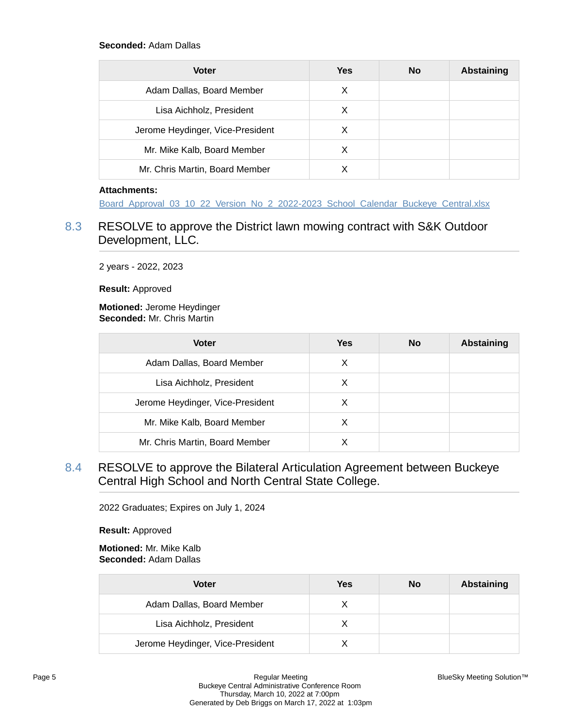#### **Seconded:** Adam Dallas

| <b>Voter</b>                     | Yes | <b>No</b> | <b>Abstaining</b> |
|----------------------------------|-----|-----------|-------------------|
| Adam Dallas, Board Member        | X   |           |                   |
| Lisa Aichholz, President         | X   |           |                   |
| Jerome Heydinger, Vice-President | X   |           |                   |
| Mr. Mike Kalb, Board Member      | х   |           |                   |
| Mr. Chris Martin, Board Member   |     |           |                   |

#### **Attachments:**

Board Approval 03\_10\_22\_Version\_No\_2\_2022-2023\_School\_Calendar\_Buckeye\_Central.xlsx

# 8.3 RESOLVE to approve the District lawn mowing contract with S&K Outdoor Development, LLC.

2 years - 2022, 2023

**Result:** Approved

#### **Motioned:** Jerome Heydinger **Seconded:** Mr. Chris Martin

| <b>Voter</b>                     | Yes | <b>No</b> | <b>Abstaining</b> |
|----------------------------------|-----|-----------|-------------------|
| Adam Dallas, Board Member        | X   |           |                   |
| Lisa Aichholz, President         | X   |           |                   |
| Jerome Heydinger, Vice-President | X   |           |                   |
| Mr. Mike Kalb, Board Member      | X   |           |                   |
| Mr. Chris Martin, Board Member   |     |           |                   |

### 8.4 RESOLVE to approve the Bilateral Articulation Agreement between Buckeye Central High School and North Central State College.

2022 Graduates; Expires on July 1, 2024

**Result:** Approved

**Motioned:** Mr. Mike Kalb **Seconded:** Adam Dallas

| Voter                            | Yes | No | Abstaining |
|----------------------------------|-----|----|------------|
| Adam Dallas, Board Member        |     |    |            |
| Lisa Aichholz, President         |     |    |            |
| Jerome Heydinger, Vice-President |     |    |            |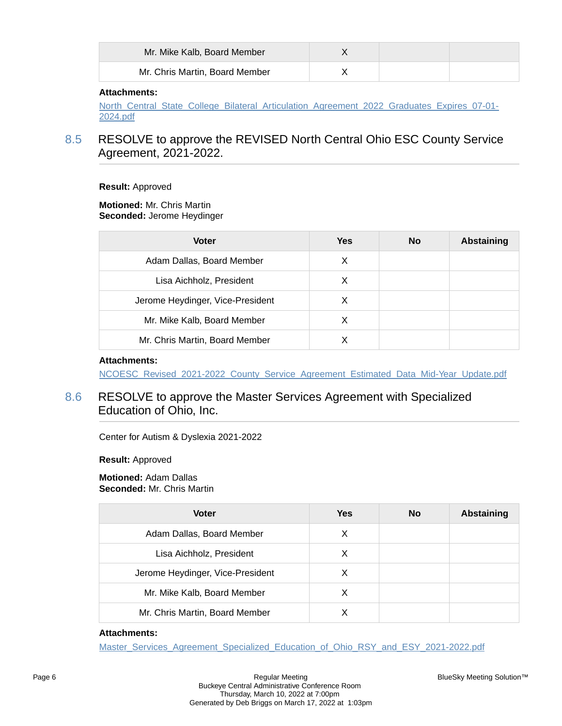| Mr. Mike Kalb, Board Member    |  |  |
|--------------------------------|--|--|
| Mr. Chris Martin, Board Member |  |  |

#### **Attachments:**

[North\\_Central\\_State\\_College\\_Bilateral\\_Articulation\\_Agreement\\_2022\\_Graduates\\_Expires\\_07-01-](https://bcbucks.blueskymeeting.com/meeting_groups/32/item_attachments/64930) [2024.pdf](https://bcbucks.blueskymeeting.com/meeting_groups/32/item_attachments/64930)

# 8.5 RESOLVE to approve the REVISED North Central Ohio ESC County Service Agreement, 2021-2022.

**Result:** Approved

#### **Motioned:** Mr. Chris Martin **Seconded:** Jerome Heydinger

| <b>Voter</b>                     | <b>Yes</b> | <b>No</b> | <b>Abstaining</b> |
|----------------------------------|------------|-----------|-------------------|
| Adam Dallas, Board Member        | X          |           |                   |
| Lisa Aichholz, President         | X          |           |                   |
| Jerome Heydinger, Vice-President | X          |           |                   |
| Mr. Mike Kalb, Board Member      | X          |           |                   |
| Mr. Chris Martin, Board Member   |            |           |                   |

#### **Attachments:**

[NCOESC\\_Revised\\_2021-2022\\_County\\_Service\\_Agreement\\_Estimated\\_Data\\_Mid-Year\\_Update.pdf](https://bcbucks.blueskymeeting.com/meeting_groups/32/item_attachments/64931)

# 8.6 RESOLVE to approve the Master Services Agreement with Specialized Education of Ohio, Inc.

Center for Autism & Dyslexia 2021-2022

**Result:** Approved

#### **Motioned:** Adam Dallas **Seconded:** Mr. Chris Martin

| <b>Voter</b>                     | Yes | <b>No</b> | <b>Abstaining</b> |
|----------------------------------|-----|-----------|-------------------|
| Adam Dallas, Board Member        | X   |           |                   |
| Lisa Aichholz, President         | X   |           |                   |
| Jerome Heydinger, Vice-President | X   |           |                   |
| Mr. Mike Kalb, Board Member      | X   |           |                   |
| Mr. Chris Martin, Board Member   | х   |           |                   |

#### **Attachments:**

[Master\\_Services\\_Agreement\\_Specialized\\_Education\\_of\\_Ohio\\_RSY\\_and\\_ESY\\_2021-2022.pdf](https://bcbucks.blueskymeeting.com/meeting_groups/32/item_attachments/64936)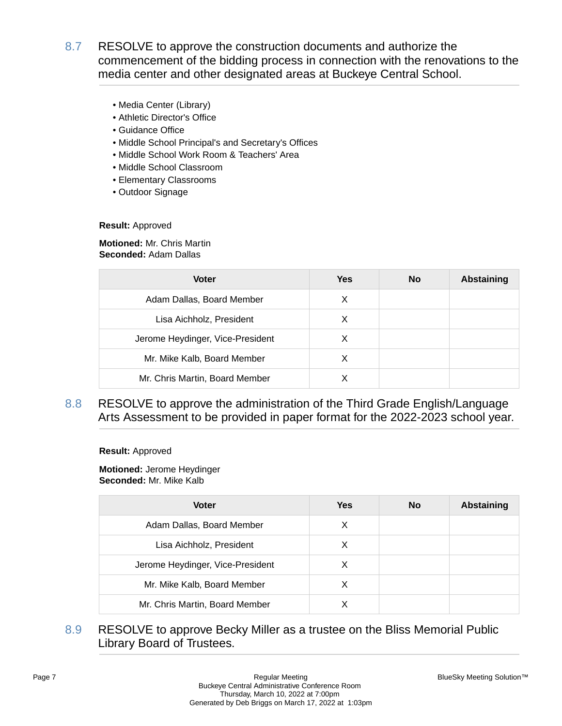- 8.7 RESOLVE to approve the construction documents and authorize the commencement of the bidding process in connection with the renovations to the media center and other designated areas at Buckeye Central School.
	- Media Center (Library)
	- Athletic Director's Office
	- Guidance Office
	- Middle School Principal's and Secretary's Offices
	- Middle School Work Room & Teachers' Area
	- Middle School Classroom
	- Elementary Classrooms
	- Outdoor Signage

#### **Result:** Approved

#### **Motioned:** Mr. Chris Martin **Seconded:** Adam Dallas

| <b>Voter</b>                     | <b>Yes</b> | <b>No</b> | <b>Abstaining</b> |
|----------------------------------|------------|-----------|-------------------|
| Adam Dallas, Board Member        | X          |           |                   |
| Lisa Aichholz, President         | X          |           |                   |
| Jerome Heydinger, Vice-President | х          |           |                   |
| Mr. Mike Kalb, Board Member      | Х          |           |                   |
| Mr. Chris Martin, Board Member   |            |           |                   |

8.8 RESOLVE to approve the administration of the Third Grade English/Language Arts Assessment to be provided in paper format for the 2022-2023 school year.

#### **Result:** Approved

#### **Motioned:** Jerome Heydinger **Seconded:** Mr. Mike Kalb

| <b>Voter</b>                     | <b>Yes</b> | <b>No</b> | Abstaining |
|----------------------------------|------------|-----------|------------|
| Adam Dallas, Board Member        | X          |           |            |
| Lisa Aichholz, President         | X          |           |            |
| Jerome Heydinger, Vice-President | X          |           |            |
| Mr. Mike Kalb, Board Member      | X          |           |            |
| Mr. Chris Martin, Board Member   |            |           |            |

8.9 RESOLVE to approve Becky Miller as a trustee on the Bliss Memorial Public Library Board of Trustees.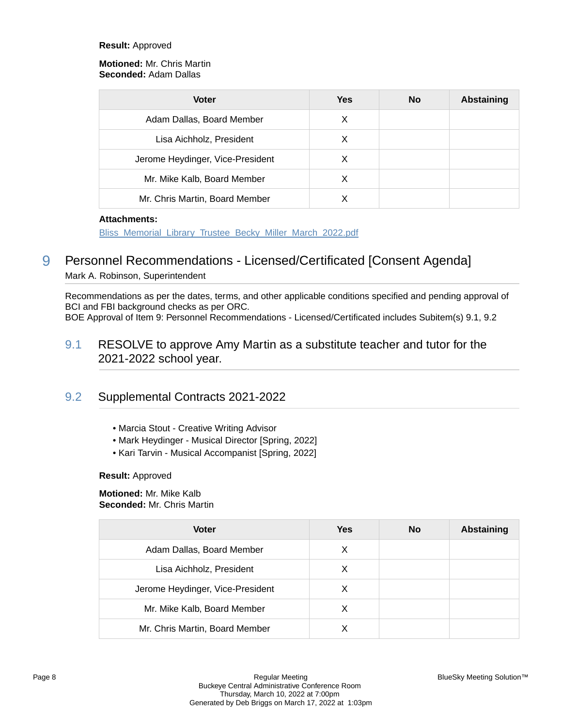#### **Result:** Approved

#### **Motioned:** Mr. Chris Martin **Seconded:** Adam Dallas

| <b>Voter</b>                     | <b>Yes</b> | <b>No</b> | <b>Abstaining</b> |
|----------------------------------|------------|-----------|-------------------|
| Adam Dallas, Board Member        | X          |           |                   |
| Lisa Aichholz, President         | х          |           |                   |
| Jerome Heydinger, Vice-President | х          |           |                   |
| Mr. Mike Kalb, Board Member      | X          |           |                   |
| Mr. Chris Martin, Board Member   |            |           |                   |

#### **Attachments:**

[Bliss\\_Memorial\\_Library\\_Trustee\\_Becky\\_Miller\\_March\\_2022.pdf](https://bcbucks.blueskymeeting.com/meeting_groups/32/item_attachments/65292)

# 9 Personnel Recommendations - Licensed/Certificated [Consent Agenda] Mark A. Robinson, Superintendent

Recommendations as per the dates, terms, and other applicable conditions specified and pending approval of BCI and FBI background checks as per ORC. BOE Approval of Item 9: Personnel Recommendations - Licensed/Certificated includes Subitem(s) 9.1, 9.2

# 9.1 RESOLVE to approve Amy Martin as a substitute teacher and tutor for the 2021-2022 school year.

## 9.2 Supplemental Contracts 2021-2022

- Marcia Stout Creative Writing Advisor
- Mark Heydinger Musical Director [Spring, 2022]
- Kari Tarvin Musical Accompanist [Spring, 2022]

#### **Result:** Approved

**Motioned:** Mr. Mike Kalb **Seconded:** Mr. Chris Martin

| <b>Voter</b>                     | Yes | No | <b>Abstaining</b> |
|----------------------------------|-----|----|-------------------|
| Adam Dallas, Board Member        | X   |    |                   |
| Lisa Aichholz, President         | X   |    |                   |
| Jerome Heydinger, Vice-President | х   |    |                   |
| Mr. Mike Kalb, Board Member      | х   |    |                   |
| Mr. Chris Martin, Board Member   | x   |    |                   |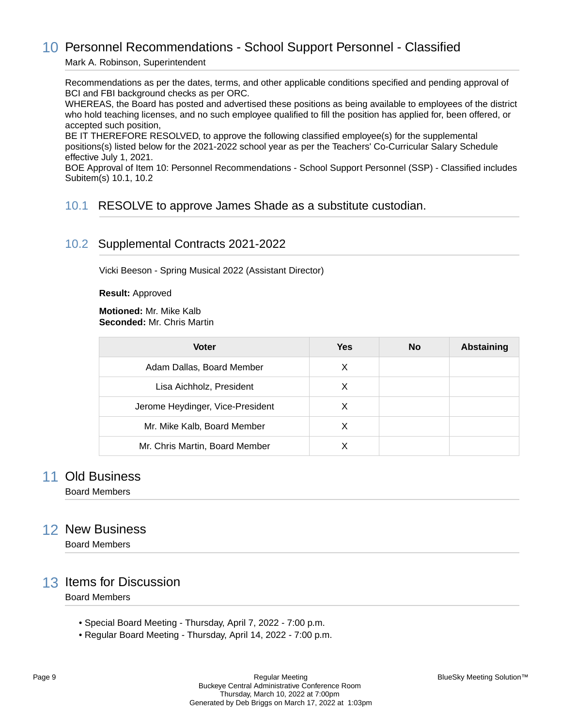# 10 Personnel Recommendations - School Support Personnel - Classified

Mark A. Robinson, Superintendent

Recommendations as per the dates, terms, and other applicable conditions specified and pending approval of BCI and FBI background checks as per ORC.

WHEREAS, the Board has posted and advertised these positions as being available to employees of the district who hold teaching licenses, and no such employee qualified to fill the position has applied for, been offered, or accepted such position,

BE IT THEREFORE RESOLVED, to approve the following classified employee(s) for the supplemental positions(s) listed below for the 2021-2022 school year as per the Teachers' Co-Curricular Salary Schedule effective July 1, 2021.

BOE Approval of Item 10: Personnel Recommendations - School Support Personnel (SSP) - Classified includes Subitem(s) 10.1, 10.2

### 10.1 RESOLVE to approve James Shade as a substitute custodian.

### 10.2 Supplemental Contracts 2021-2022

Vicki Beeson - Spring Musical 2022 (Assistant Director)

**Result:** Approved

**Motioned:** Mr. Mike Kalb **Seconded:** Mr. Chris Martin

| <b>Voter</b>                     | <b>Yes</b> | No | Abstaining |
|----------------------------------|------------|----|------------|
| Adam Dallas, Board Member        | X          |    |            |
| Lisa Aichholz, President         | X          |    |            |
| Jerome Heydinger, Vice-President | X          |    |            |
| Mr. Mike Kalb, Board Member      | х          |    |            |
| Mr. Chris Martin, Board Member   |            |    |            |

### 11 Old Business

Board Members

## 12 New Business

Board Members

## 13 Items for Discussion

Board Members

- Special Board Meeting Thursday, April 7, 2022 7:00 p.m.
- Regular Board Meeting Thursday, April 14, 2022 7:00 p.m.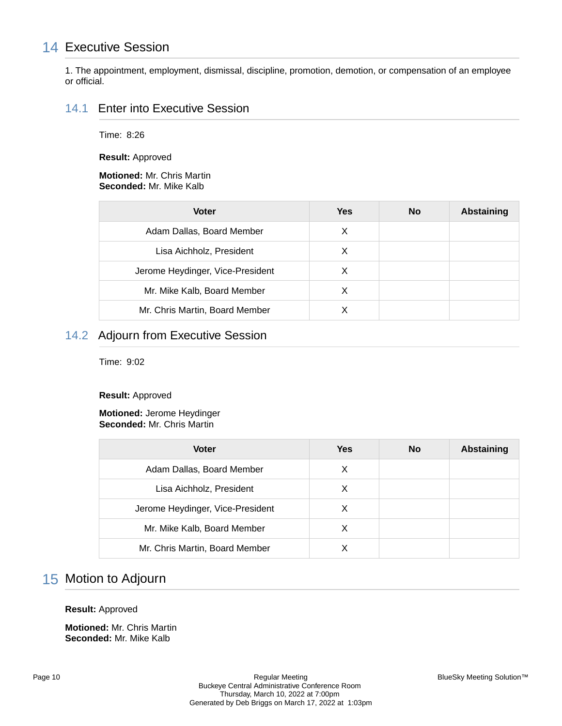# 14 Executive Session

1. The appointment, employment, dismissal, discipline, promotion, demotion, or compensation of an employee or official.

### 14.1 Enter into Executive Session

Time: 8:26

**Result:** Approved

#### **Motioned:** Mr. Chris Martin **Seconded:** Mr. Mike Kalb

| <b>Voter</b>                     | Yes | <b>No</b> | <b>Abstaining</b> |
|----------------------------------|-----|-----------|-------------------|
| Adam Dallas, Board Member        | X   |           |                   |
| Lisa Aichholz, President         | X   |           |                   |
| Jerome Heydinger, Vice-President | X   |           |                   |
| Mr. Mike Kalb, Board Member      | X   |           |                   |
| Mr. Chris Martin, Board Member   |     |           |                   |

## 14.2 Adjourn from Executive Session

Time: 9:02

#### **Result:** Approved

**Motioned:** Jerome Heydinger **Seconded:** Mr. Chris Martin

| <b>Voter</b>                     | <b>Yes</b> | No | <b>Abstaining</b> |
|----------------------------------|------------|----|-------------------|
| Adam Dallas, Board Member        | X          |    |                   |
| Lisa Aichholz, President         | X          |    |                   |
| Jerome Heydinger, Vice-President | X          |    |                   |
| Mr. Mike Kalb, Board Member      | X          |    |                   |
| Mr. Chris Martin, Board Member   | х          |    |                   |

# 15 Motion to Adjourn

#### **Result:** Approved

**Motioned:** Mr. Chris Martin **Seconded:** Mr. Mike Kalb